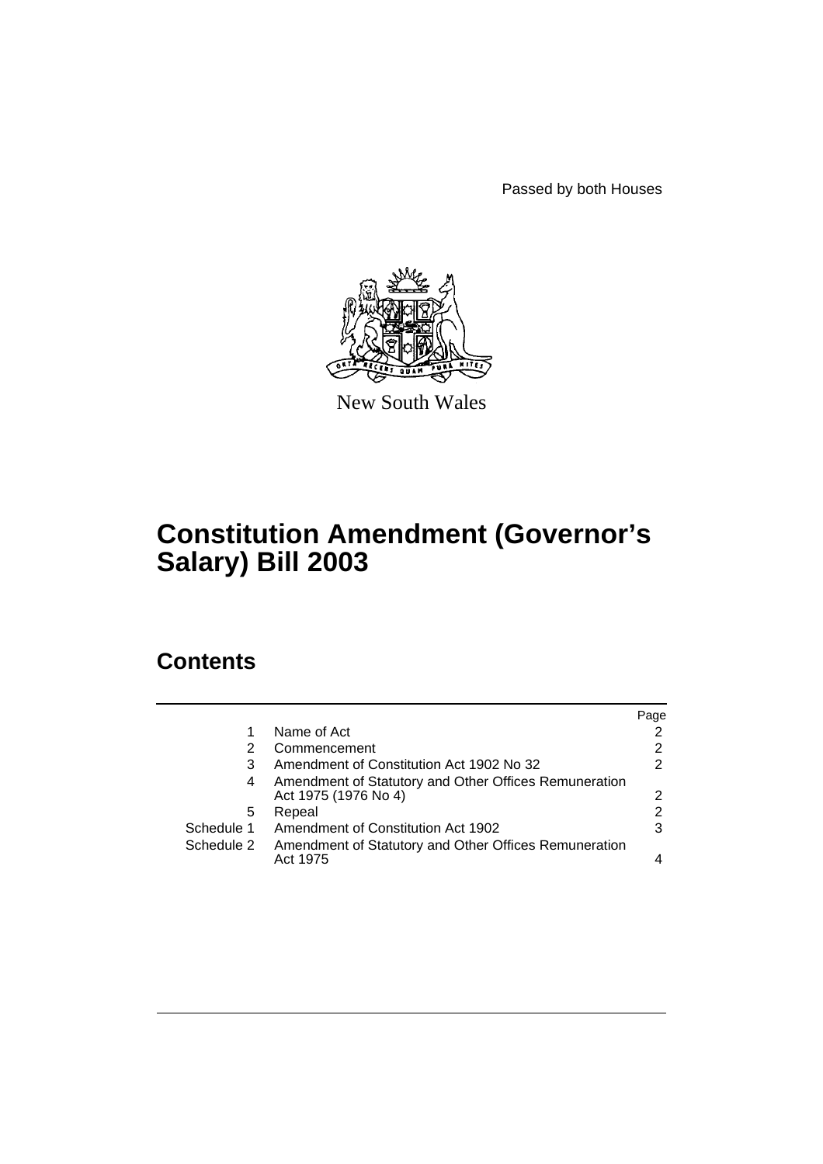Passed by both Houses



New South Wales

# **Constitution Amendment (Governor's Salary) Bill 2003**

## **Contents**

|            |                                                                               | Page |
|------------|-------------------------------------------------------------------------------|------|
|            | Name of Act                                                                   |      |
| 2          | Commencement                                                                  | 2    |
| 3          | Amendment of Constitution Act 1902 No 32                                      | 2    |
| 4          | Amendment of Statutory and Other Offices Remuneration<br>Act 1975 (1976 No 4) | 2    |
| 5          | Repeal                                                                        | 2    |
| Schedule 1 | Amendment of Constitution Act 1902                                            | 3    |
| Schedule 2 | Amendment of Statutory and Other Offices Remuneration<br>Act 1975             |      |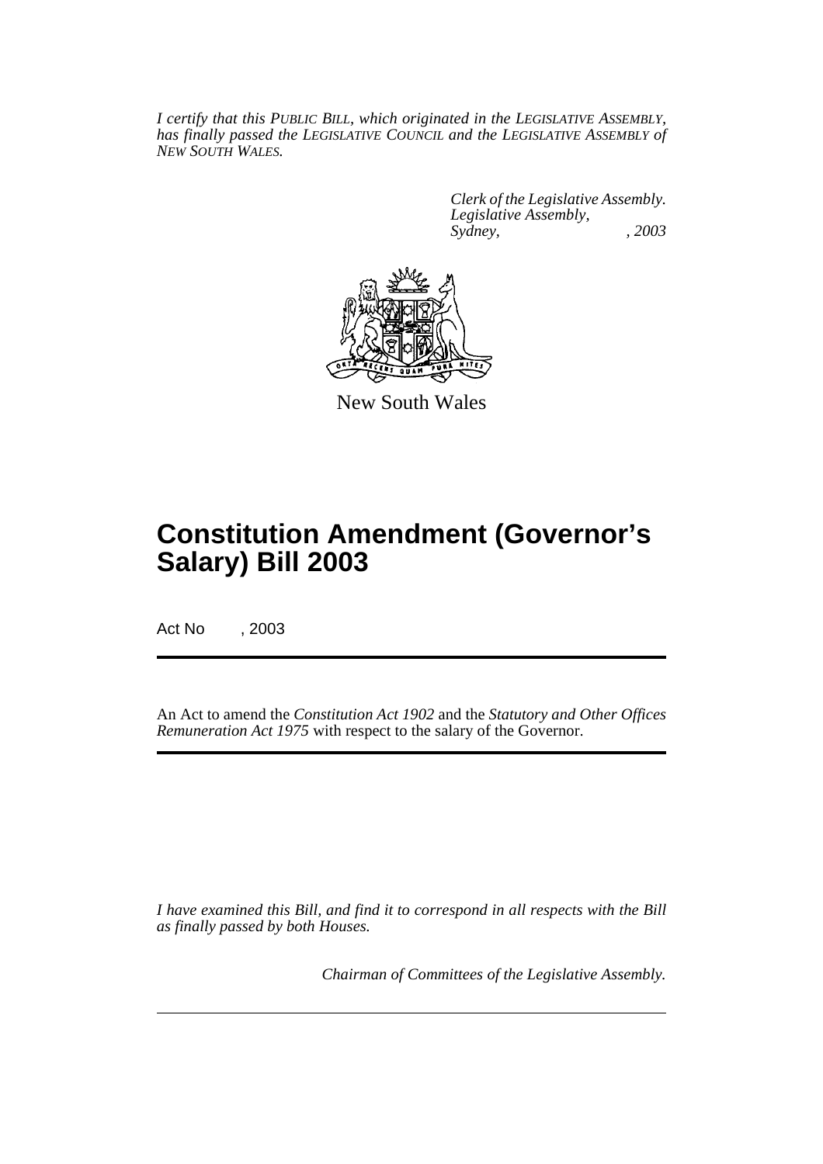*I certify that this PUBLIC BILL, which originated in the LEGISLATIVE ASSEMBLY, has finally passed the LEGISLATIVE COUNCIL and the LEGISLATIVE ASSEMBLY of NEW SOUTH WALES.*

> *Clerk of the Legislative Assembly. Legislative Assembly, Sydney, , 2003*



New South Wales

# **Constitution Amendment (Governor's Salary) Bill 2003**

Act No , 2003

An Act to amend the *Constitution Act 1902* and the *Statutory and Other Offices Remuneration Act 1975* with respect to the salary of the Governor.

*I have examined this Bill, and find it to correspond in all respects with the Bill as finally passed by both Houses.*

*Chairman of Committees of the Legislative Assembly.*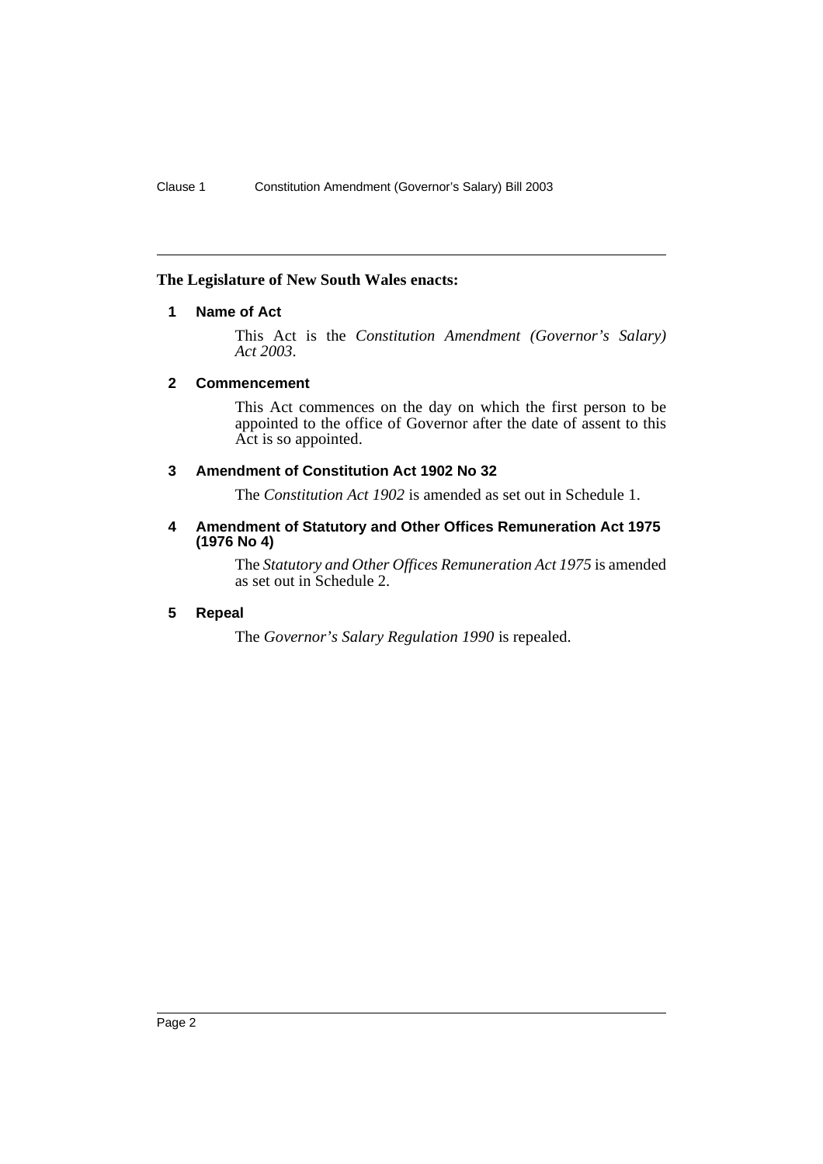### **The Legislature of New South Wales enacts:**

### **1 Name of Act**

This Act is the *Constitution Amendment (Governor's Salary) Act 2003*.

### **2 Commencement**

This Act commences on the day on which the first person to be appointed to the office of Governor after the date of assent to this Act is so appointed.

### **3 Amendment of Constitution Act 1902 No 32**

The *Constitution Act 1902* is amended as set out in Schedule 1.

### **4 Amendment of Statutory and Other Offices Remuneration Act 1975 (1976 No 4)**

The *Statutory and Other Offices Remuneration Act 1975* is amended as set out in Schedule 2.

### **5 Repeal**

The *Governor's Salary Regulation 1990* is repealed.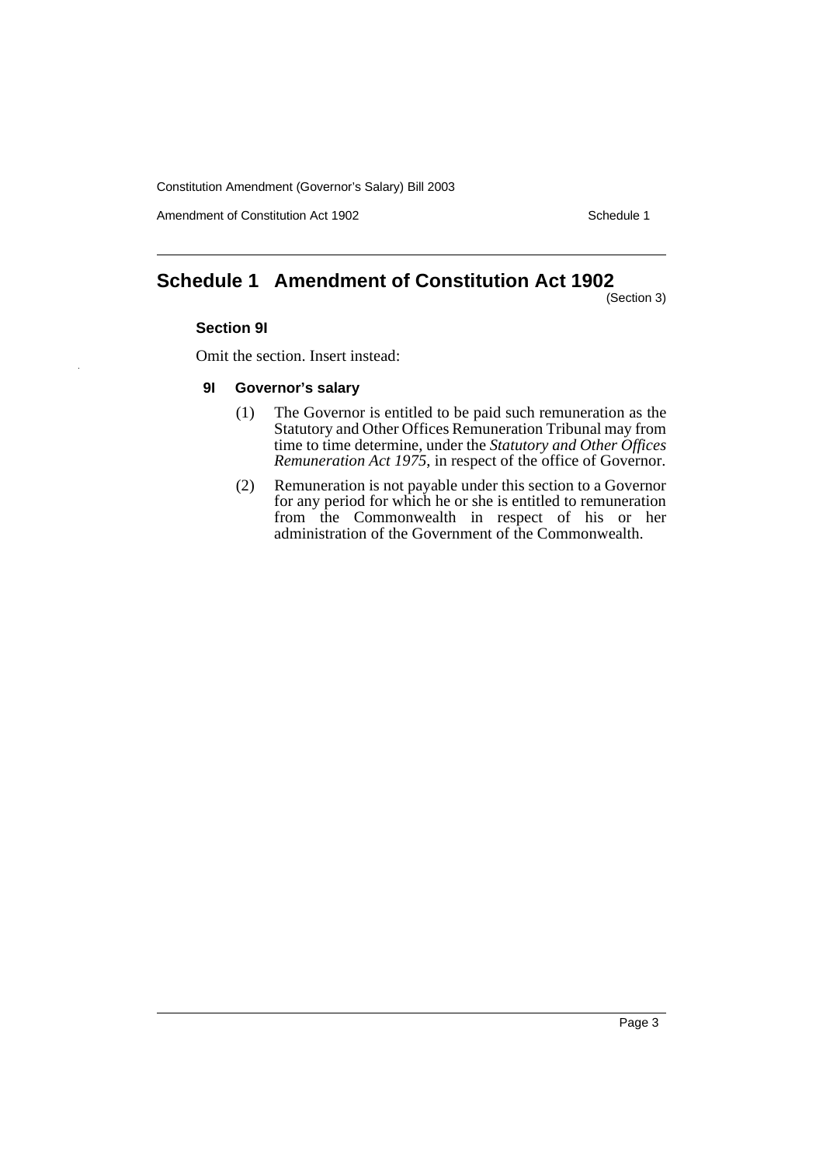Constitution Amendment (Governor's Salary) Bill 2003

Amendment of Constitution Act 1902 Schedule 1

### **Schedule 1 Amendment of Constitution Act 1902**

(Section 3)

#### **Section 9I**

Omit the section. Insert instead:

### **9I Governor's salary**

- (1) The Governor is entitled to be paid such remuneration as the Statutory and Other Offices Remuneration Tribunal may from time to time determine, under the *Statutory and Other Offices Remuneration Act 1975*, in respect of the office of Governor.
- (2) Remuneration is not payable under this section to a Governor for any period for which he or she is entitled to remuneration from the Commonwealth in respect of his or her administration of the Government of the Commonwealth.